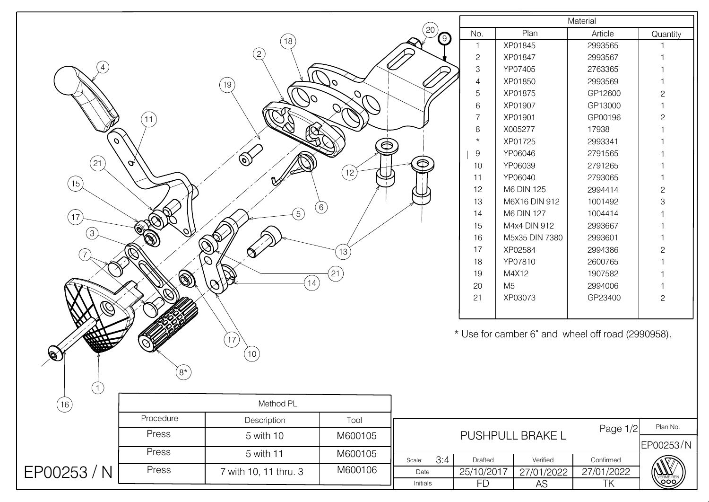|                   |                   |                                   |             |                                            |                           | Material                                          |                    |              |  |
|-------------------|-------------------|-----------------------------------|-------------|--------------------------------------------|---------------------------|---------------------------------------------------|--------------------|--------------|--|
|                   |                   |                                   |             | $\left(20\right)$                          | No.                       | Plan                                              | Article            | Quantity     |  |
|                   |                   | 18                                |             | $\left( 9\right)$                          | $\mathbf{1}$              | XP01845                                           | 2993565            |              |  |
|                   |                   | (2)                               |             |                                            | $\mathbf{2}$              | XP01847                                           | 2993567            |              |  |
| $\overline{4}$    |                   |                                   |             |                                            | $\ensuremath{\mathsf{3}}$ | YP07405                                           | 2763365            |              |  |
|                   |                   | $^{'}19)$                         | 70          |                                            | $\overline{4}$            | XP01850                                           | 2993569            |              |  |
|                   |                   | 01                                |             |                                            | $\mathbf 5$               | XP01875                                           | GP12600            | $\mathbf{2}$ |  |
|                   |                   |                                   |             |                                            | $6\,$                     | XP01907                                           | GP13000            |              |  |
|                   | (11)              |                                   |             |                                            | $\overline{7}$            | XP01901                                           | GP00196            | $\mathbf{2}$ |  |
|                   |                   | Ø                                 |             |                                            | $\,8\,$                   | X005277                                           | 17938              |              |  |
| $\mathcal{O}$     |                   |                                   | $\bigoplus$ |                                            | $\star$                   | XP01725                                           | 2993341            |              |  |
| $^{'}$ 21 $^{'}$  | $\alpha$          | $\circledS$                       |             | $\bigoplus$                                | $\boldsymbol{9}$          | YP06046                                           | 2791565            |              |  |
|                   |                   |                                   | (12)        |                                            | 10                        | YP06039                                           | 2791265            |              |  |
| $\left(15\right)$ |                   |                                   |             |                                            | 11                        | YP06040                                           | 2793065            |              |  |
|                   |                   |                                   |             |                                            | 12                        | M6 DIN 125<br>M6X16 DIN 912                       | 2994414            | $\mathbf{2}$ |  |
|                   |                   | $\binom{5}{ }$                    | (6)         |                                            | 13<br>14                  | M6 DIN 127                                        | 1001492<br>1004414 | 3            |  |
| 17                |                   |                                   |             |                                            | 15                        | M4x4 DIN 912                                      | 2993667            |              |  |
| $\left(3\right)$  |                   |                                   |             |                                            | 16                        | M5x35 DIN 7380                                    | 2993601            |              |  |
|                   |                   | $\bigotimes$                      |             |                                            | 17                        | XP02584                                           | 2994386            | $\mathbf{2}$ |  |
|                   |                   | $\infty$<br>$\Omega$              | 13          |                                            | 18                        | YP07810                                           | 2600765            |              |  |
|                   |                   |                                   | $^{'}$ 21   |                                            | 19                        | M4X12                                             | 1907582            |              |  |
|                   | $\circledS$       | $\left(14\right)$<br>$\bigotimes$ |             |                                            | 20                        | M <sub>5</sub>                                    | 2994006            |              |  |
|                   |                   |                                   |             |                                            | 21                        | XP03073                                           | GP23400            | $\mathbf{2}$ |  |
|                   |                   |                                   |             |                                            |                           |                                                   |                    |              |  |
|                   |                   |                                   |             |                                            |                           |                                                   |                    |              |  |
|                   |                   | 17                                |             |                                            |                           | * Use for camber 6° and wheel off road (2990958). |                    |              |  |
|                   |                   |                                   |             |                                            |                           |                                                   |                    |              |  |
| ØX                |                   | (10)                              |             |                                            |                           |                                                   |                    |              |  |
|                   | $\left(8*\right)$ |                                   |             |                                            |                           |                                                   |                    |              |  |
| $\bigcirc$        |                   |                                   |             |                                            |                           |                                                   |                    |              |  |
| (16)              | Method PL         |                                   |             |                                            |                           |                                                   |                    |              |  |
|                   | Procedure         | Description                       | Tool        |                                            |                           |                                                   |                    |              |  |
|                   | Press             | 5 with 10                         | M600105     | Plan No.<br>Page $1/2$<br>PUSHPULL BRAKE L |                           |                                                   |                    |              |  |
|                   | Press             | 5 with 11                         | M600105     | 3:4<br>Scale:                              | Drafted                   | Verified                                          | Confirmed          | EP00253/N    |  |
| EP00253 / N       | Press             | 7 with 10, 11 thru. 3             | M600106     | Date                                       | 25/10/2017                | 27/01/2022                                        | 27/01/2022         |              |  |
|                   |                   |                                   |             | Initials                                   | <b>FD</b>                 | AS                                                | TK                 | ၜၜၜ          |  |